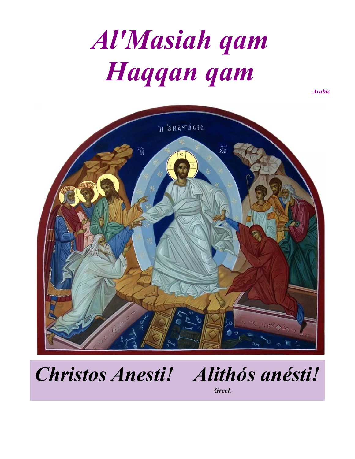# *Al'Masiah qam Haqqan qam*

*Arabic*



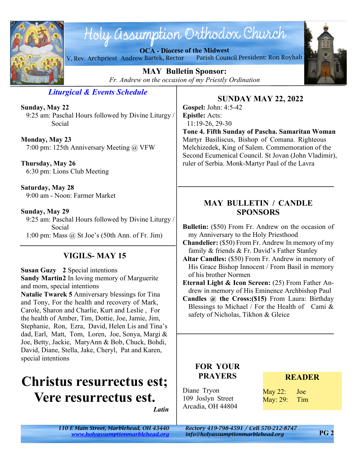

# Holy assumption Orthodox Church

**OCA - Diocese of the Midwest** V. Rev. Archpriest Andrew Bartek, Rector Parish Council President: Ron Royhab



**MAY Bulletin Sponsor:** *Fr. Andrew on the occasion of my Priestly Ordination*

*Liturgical & Events Schedule*

**Sunday, May 22** 9:25 am: Paschal Hours followed by Divine Liturgy / Social

**Monday, May 23** 7:00 pm: 125th Anniversary Meeting @ VFW

**Thursday, May 26** 6:30 pm: Lions Club Meeting

**Saturday, May 28** 9:00 am - Noon: Farmer Market

**Sunday, May 29**

 9:25 am: Paschal Hours followed by Divine Liturgy / Social 1:00 pm: Mass @ St Joe's (50th Ann. of Fr. Jim)

# **VIGILS- MAY 15**

**Susan Guzy 2** Special intentions **Sandy Martin2** In loving memory of Marguerite and mom, special intentions

**Natalie Twarek 5** Anniversary blessings for Tina and Tony, For the health and recovery of Mark, Carole, Sharon and Charlie, Kurt and Leslie , For the health of Amber, Tim, Dottie, Joe, Jamie, Jim, Stephanie, Ron, Ezra, David, Helen Lis and Tina's dad, Earl, Matt, Tom, Loren, Joe, Sonya, Margi & Joe, Betty, Jackie, MaryAnn & Bob, Chuck, Bohdi, David, Diane, Stella, Jake, Cheryl, Pat and Karen, special intentions

# **Christus resurrectus est; Vere resurrectus est.**

*Latin*

**SUNDAY MAY 22, 2022**

**Gospel:** John: 4:5-42 **Epistle:** Acts: 11:19-26, 29-30

**Tone 4. Fifth Sunday of Pascha. Samaritan Woman** Martyr Basiliscus, Bishop of Comana. Righteous Melchizedek, King of Salem. Commemoration of the Second Ecumenical Council. St Jovan (John Vladimir), ruler of Serbia. Monk-Martyr Paul of the Lavra

# **MAY BULLETIN / CANDLE SPONSORS**

**Bulletin:** (\$50) From Fr. Andrew on the occasion of my Anniversary to the Holy Priesthood

**Chandelier:** (\$50) From Fr. Andrew In memory of my family & friends & Fr. David's Father Stanley

**Altar Candles:** (\$50) From Fr. Andrew in memory of His Grace Bishop Innocent / From Basil in memory of his brother Normen

**Eternal Light & Icon Screen:** (25) From Father Andrew in memory of His Eminence Archbishop Paul

**Candles @ the Cross:(\$15)** From Laura: Birthday Blessings to Michael / For the Health of Cami  $\&$ safety of Nicholas, Tikhon & Gleice

# **FOR YOUR PRAYERS**

Diane Tryon 109 Joslyn Street Arcadia, OH 44804

### **READER**

May 22: Joe May: 29: Tim

*<www.holyassumptionmarblehead.org> info@holyassumptionmarblehead.org*

*110 E Main Street, Marblehead, OH 43440 Rectory 419-798-4591 / Cell 570-212-8747*

**PG 2**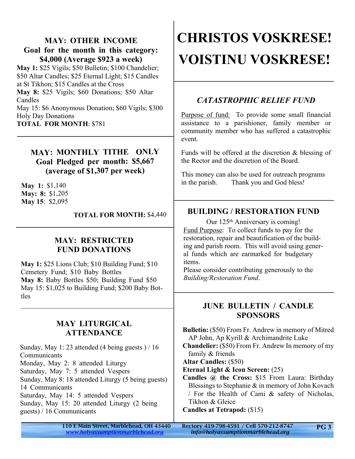### **MAY: OTHER INCOME Goal for the month in this category: \$4,000 (Average \$923 a week)**

**May 1:** \$25 Vigils; \$50 Bulletin; \$100 Chandelier; \$50 Altar Candles; \$25 Eternal Light; \$15 Candles at St Tikhon; \$15 Candles at the Cross **May 8:** \$25 Vigils; \$60 Donations; \$50 Altar Candles

May 15: \$6 Anonymous Donation; \$60 Vigils; \$300 Holy Day Donations **TOTAL FOR MONTH**: \$781

### **MAY: MONTHLY TITHE ONLY Goal Pledged per month: \$5,667 (average of \$1,307 per week)**

**May 1:** \$1,140 **May: 8:** \$1,205 **May 15**: \$2,095

**TOTAL FOR MONTH:** \$4,440

## **MAY: RESTRICTED FUND DONATIONS**

**May 1:** \$25 Lions Club; \$10 Building Fund; \$10 Cemetery Fund; \$10 Baby Bottles **May 8:** Baby Bottles \$50; Building Fund \$50 May 15: \$1,025 to Building Fund; \$200 Baby Bottles

### **MAY LITURGICAL ATTENDANCE**

Sunday, May 1: 23 attended (4 being guests ) / 16 Communicants Monday, May 2: 8 attended Liturgy Saturday, May 7: 5 attended Vespers Sunday, May 8: 18 attended Liturgy (5 being guests) 14 Communicants Saturday, May 14: 5 attended Vespers Sunday, May 15: 20 attended Liturgy (2 being guests) / 16 Communicants

# **CHRISTOS VOSKRESE! VOISTINU VOSKRESE!**

# *CATASTROPHIC RELIEF FUND*

Purpose of fund: To provide some small financial assistance to a parishioner, family member or community member who has suffered a catastrophic event.

Funds will be offered at the discretion & blessing of the Rector and the discretion of the Board.

This money can also be used for outreach programs in the parish. Thank you and God bless!

# **BUILDING / RESTORATION FUND**

Our 125<sup>th</sup> Anniversary is coming! Fund Purpose: To collect funds to pay for the restoration, repair and beautification of the building and parish room. This will avoid using general funds which are earmarked for budgetary items.

Please consider contributing generously to the *Building/Restoration Fund*.

#### **JUNE BULLETIN / CANDLE SPONSORS**

**Bulletin:** (\$50) From Fr. Andrew in memory of Mitred AP John, Ap Kyrill & Archimandrite Luke **Chandelier:** (\$50) From Fr. Andrew In memory of my family & friends **Altar Candles:** (\$50) **Eternal Light & Icon Screen:** (25) **Candles @ the Cross:** \$15 From Laura: Birthday Blessings to Stephanie & in memory of John Kovach

/ For the Health of Cami & safety of Nicholas, Tikhon & Gleice

#### **Candles at Tetrapod:** (\$15)

110 E Main Street, Marblehead, OH 43440 Rectory 419-798-4591 / Cell 570-212-8747 *<www.holyassumptionmarblehead.org> info@holyassumptionmarblehead.org*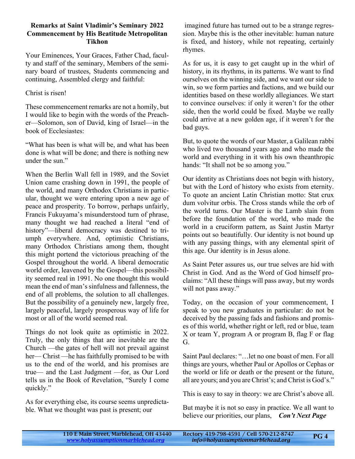#### **Remarks at Saint Vladimir's Seminary 2022 Commencement by His Beatitude Metropolitan Tikhon**

Your Eminences, Your Graces, Father Chad, faculty and staff of the seminary, Members of the seminary board of trustees, Students commencing and continuing, Assembled clergy and faithful:

#### Christ is risen!

These commencement remarks are not a homily, but I would like to begin with the words of the Preacher—Solomon, son of David, king of Israel—in the book of Ecclesiastes:

"What has been is what will be, and what has been done is what will be done; and there is nothing new under the sun."

When the Berlin Wall fell in 1989, and the Soviet Union came crashing down in 1991, the people of the world, and many Orthodox Christians in particular, thought we were entering upon a new age of peace and prosperity. To borrow, perhaps unfairly, Francis Fukuyama's misunderstood turn of phrase, many thought we had reached a literal "end of history"—liberal democracy was destined to triumph everywhere. And, optimistic Christians, many Orthodox Christians among them, thought this might portend the victorious preaching of the Gospel throughout the world. A liberal democratic world order, leavened by the Gospel—this possibility seemed real in 1991. No one thought this would mean the end of man's sinfulness and fallenness, the end of all problems, the solution to all challenges. But the possibility of a genuinely new, largely free, largely peaceful, largely prosperous way of life for most or all of the world seemed real.

Things do not look quite as optimistic in 2022. Truly, the only things that are inevitable are the Church —the gates of hell will not prevail against her— Christ —he has faithfully promised to be with us to the end of the world, and his promises are true— and the Last Judgment —for, as Our Lord tells us in the Book of Revelation, "Surely I come quickly."

As for everything else, its course seems unpredictable. What we thought was past is present; our

 imagined future has turned out to be a strange regression. Maybe this is the other inevitable: human nature is fixed, and history, while not repeating, certainly rhymes.

As for us, it is easy to get caught up in the whirl of history, in its rhythms, in its patterns. We want to find ourselves on the winning side, and we want our side to win, so we form parties and factions, and we build our identities based on these worldly allegiances. We start to convince ourselves: if only it weren't for the other side, then the world could be fixed. Maybe we really could arrive at a new golden age, if it weren't for the bad guys.

But, to quote the words of our Master, a Galilean rabbi who lived two thousand years ago and who made the world and everything in it with his own theanthropic hands: "It shall not be so among you."

Our identity as Christians does not begin with history, but with the Lord of history who exists from eternity. To quote an ancient Latin Christian motto: Stat crux dum volvitur orbis. The Cross stands while the orb of the world turns. Our Master is the Lamb slain from before the foundation of the world, who made the world in a cruciform pattern, as Saint Justin Martyr points out so beautifully. Our identity is not bound up with any passing things, with any elemental spirit of this age. Our identity is in Jesus alone.

As Saint Peter assures us, our true selves are hid with Christ in God. And as the Word of God himself proclaims: "All these things will pass away, but my words will not pass away."

Today, on the occasion of your commencement, I speak to you new graduates in particular: do not be deceived by the passing fads and fashions and promises of this world, whether right or left, red or blue, team X or team Y, program A or program B, flag F or flag G.

Saint Paul declares: "…let no one boast of men. For all things are yours, whether Paul or Apollos or Cephas or the world or life or death or the present or the future, all are yours; and you are Christ's; and Christ is God's."

This is easy to say in theory: we are Christ's above all.

But maybe it is not so easy in practice. We all want to believe our priorities, our plans, *Con't Next Page*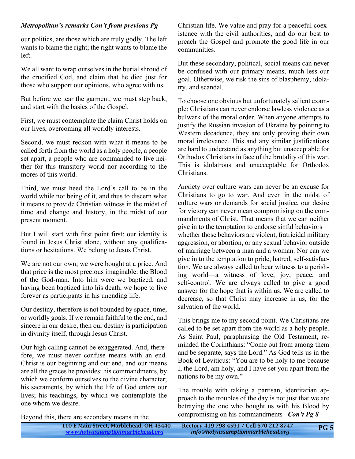#### *Metropolitan's remarks Con't from previous Pg*

our politics, are those which are truly godly. The left wants to blame the right; the right wants to blame the left.

We all want to wrap ourselves in the burial shroud of the crucified God, and claim that he died just for those who support our opinions, who agree with us.

But before we tear the garment, we must step back, and start with the basics of the Gospel.

First, we must contemplate the claim Christ holds on our lives, overcoming all worldly interests.

Second, we must reckon with what it means to be called forth from the world as a holy people, a people set apart, a people who are commanded to live neither for this transitory world nor according to the mores of this world.

Third, we must heed the Lord's call to be in the world while not being of it, and thus to discern what it means to provide Christian witness in the midst of time and change and history, in the midst of our present moment.

But I will start with first point first: our identity is found in Jesus Christ alone, without any qualifications or hesitations. We belong to Jesus Christ.

We are not our own; we were bought at a price. And that price is the most precious imaginable: the Blood of the God-man. Into him were we baptized, and having been baptized into his death, we hope to live forever as participants in his unending life.

Our destiny, therefore is not bounded by space, time, or worldly goals. If we remain faithful to the end, and sincere in our desire, then our destiny is participation in divinity itself, through Jesus Christ.

Our high calling cannot be exaggerated. And, therefore, we must never confuse means with an end. Christ is our beginning and our end, and our means are all the graces he provides: his commandments, by which we conform ourselves to the divine character; his sacraments, by which the life of God enters our lives; his teachings, by which we contemplate the one whom we desire.

Beyond this, there are secondary means in the

Christian life. We value and pray for a peaceful coexistence with the civil authorities, and do our best to preach the Gospel and promote the good life in our communities.

But these secondary, political, social means can never be confused with our primary means, much less our goal. Otherwise, we risk the sins of blasphemy, idolatry, and scandal.

To choose one obvious but unfortunately salient example: Christians can never endorse lawless violence as a bulwark of the moral order. When anyone attempts to justify the Russian invasion of Ukraine by pointing to Western decadence, they are only proving their own moral irrelevance. This and any similar justifications are hard to understand as anything but unacceptable for Orthodox Christians in face of the brutality of this war. This is idolatrous and unacceptable for Orthodox Christians.

Anxiety over culture wars can never be an excuse for Christians to go to war. And even in the midst of culture wars or demands for social justice, our desire for victory can never mean compromising on the commandments of Christ. That means that we can neither give in to the temptation to endorse sinful behaviors whether those behaviors are violent, fratricidal military aggression, or abortion, or any sexual behavior outside of marriage between a man and a woman. Nor can we give in to the temptation to pride, hatred, self-satisfaction. We are always called to bear witness to a perishing world—a witness of love, joy, peace, and self-control. We are always called to give a good answer for the hope that is within us. We are called to decrease, so that Christ may increase in us, for the salvation of the world.

This brings me to my second point. We Christians are called to be set apart from the world as a holy people. As Saint Paul, paraphrasing the Old Testament, reminded the Corinthians: "Come out from among them and be separate, says the Lord." As God tells us in the Book of Leviticus: "You are to be holy to me because I, the Lord, am holy, and I have set you apart from the nations to be my own."

The trouble with taking a partisan, identitarian approach to the troubles of the day is not just that we are betraying the one who bought us with his Blood by compromising on his commandments *Con't Pg 8*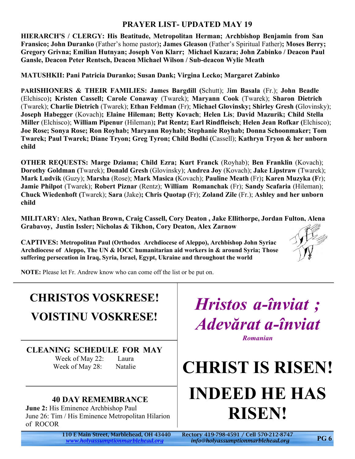### **PRAYER LIST- UPDATED MAY 19**

**HIERARCH'S / CLERGY: His Beatitude, Metropolitan Herman; Archbishop Benjamin from San Fransico; John Duranko** (Father's home pastor)**; James Gleason** (Father's Spiritual Father)**; Moses Berry; Gregory Grivna; Emilian Hutnyan; Joseph Von Klarr; Michael Kuzara; John Zabinko / Deacon Paul Gansle, Deacon Peter Rentsch, Deacon Michael Wilson / Sub-deacon Wylie Meath**

**MATUSHKII: Pani Patricia Duranko; Susan Dank; Virgina Lecko; Margaret Zabinko**

**PARISHIONERS & THEIR FAMILIES: James Bargdill (**Schutt); J**im Basala** (Fr.); **John Beadle** (Elchisco)**; Kristen Cassell; Carole Conaway** (Twarek); **Maryann Cook** (Twarek); **Sharon Dietrich** (Twarek); **Charlie Dietrich** (Twarek); **Ethan Feldman** (Fr); **Michael Glovinsky; Shirley Gresh (**Glovinsky); **Joseph Habegger** (Kovach)**; Elaine Hileman; Betty Kovach**; **Helen Lis**; **David Mazurik; Child Stella Miller** (Elchisco); **William Pipenur** (Hileman)**; Pat Rentz; Earl Rindfleisch**; **Helen Jean Rofkar (**Elchisco); **Joe Rose; Sonya Rose; Ron Royhab; Maryann Royhab; Stephanie Royhab; Donna Schoonmaker; Tom Twarek; Paul Twarek; Diane Tryon; Greg Tyron; Child Bodhi (**Cassell); **Kathryn Tryon & her unborn child**

**OTHER REQUESTS: Marge Dziama; Child Ezra; Kurt Franck** (Royhab); **Ben Franklin** (Kovach); **Dorothy Goldman (**Twarek); **Donald Gresh** (Glovinsky); **Andrea Joy** (Kovach); **Jake Lipstraw** (Twarek); **Mark Ludvik** (Guzy); **Marsha** (Rose); **Mark Masica (**Kovach); **Pauline Meath** (Fr)**; Karen Muzyka (F**r); **Jamie Philpot** (Twarek); **Robert Piznar** (Rentz); **William Romanchak** (Fr); **Sandy Scafaria** (Hileman); **Chuck Wiedenhoft (**Twarek); **Sara** (Jake)**; Chris Quotap (**Fr); **Zoland Zile** (Fr.); **Ashley and her unborn child**

**MILITARY: Alex, Nathan Brown, Craig Cassell, Cory Deaton , Jake Ellithorpe, Jordan Fulton, Alena Grabavoy, Justin Issler; Nicholas & Tikhon, Cory Deaton, Alex Zarnow**

**CAPTIVES: Metropolitan Paul (Orthodox Archdiocese of Aleppo), Archbishop John Syriac Archdiocese of Aleppo, The UN & IOCC humanitarian aid workers in & around Syria; Those suffering persecution in Iraq, Syria, Israel, Egypt, Ukraine and throughout the world**



**NOTE:** Please let Fr. Andrew know who can come off the list or be put on.

# **CHRISTOS VOSKRESE!**

**VOISTINU VOSKRESE!**

# **CLEANING SCHEDULE FOR MAY**

Week of May 22: Laura Week of May 28: Natalie

# **40 DAY REMEMBRANCE**

**June 2:** His Eminence Archbishop Paul June 26: Tim / His Eminence Metropolitan Hilarion of ROCOR

*<www.holyassumptionmarblehead.org> info@holyassumptionmarblehead.org*

*Hristos a-înviat ; Adevărat a-înviat Romanian*

# **CHRIST IS RISEN! INDEED HE HAS RISEN!**

110 E Main Street, Marblehead, OH 43440 Rectory 419-798-4591 / Cell 570-212-8747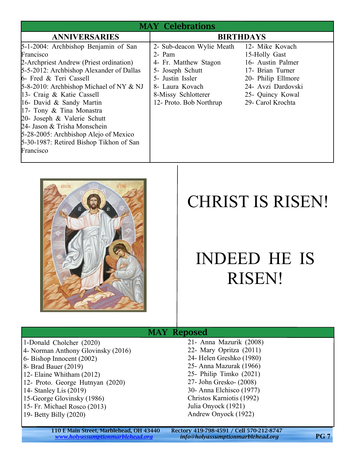| <b>MAY Celebrations</b>                                                                                                                                                                                                                                                                                                                                                                                                                                               |                                                                                                                                                                           |                                                                                                                                                                |  |
|-----------------------------------------------------------------------------------------------------------------------------------------------------------------------------------------------------------------------------------------------------------------------------------------------------------------------------------------------------------------------------------------------------------------------------------------------------------------------|---------------------------------------------------------------------------------------------------------------------------------------------------------------------------|----------------------------------------------------------------------------------------------------------------------------------------------------------------|--|
| <b>ANNIVERSARIES</b>                                                                                                                                                                                                                                                                                                                                                                                                                                                  |                                                                                                                                                                           | <b>BIRTHDAYS</b>                                                                                                                                               |  |
| 5-1-2004: Archbishop Benjamin of San<br>Francisco<br>2-Archpriest Andrew (Priest ordination)<br>5-5-2012: Archbishop Alexander of Dallas<br>6- Fred & Teri Cassell<br>$5-8-2010$ : Archbishop Michael of NY & NJ<br>13- Craig & Katie Cassell<br>16- David & Sandy Martin<br>17- Tony & Tina Monastra<br>20- Joseph & Valerie Schutt<br>24- Jason & Trisha Monschein<br>5-28-2005: Archbishop Alejo of Mexico<br>5-30-1987: Retired Bishop Tikhon of San<br>Francisco | 2- Sub-deacon Wylie Meath<br>2- Pam<br>4- Fr. Matthew Stagon<br>5- Joseph Schutt<br>5- Justin Issler<br>8- Laura Kovach<br>8-Missy Schlotterer<br>12- Proto. Bob Northrup | 12- Mike Kovach<br>15-Holly Gast<br>16- Austin Palmer<br>17- Brian Turner<br>20- Philip Ellmore<br>24- Avzi Dardovski<br>25- Quincy Kowal<br>29- Carol Krochta |  |



# CHRIST IS RISEN!

# INDEED HE IS RISEN!

#### MAY Reposed 1-Donald Cholcher (2020) 4- Norman Anthony Glovinsky (2016) 6- Bishop Innocent (2002) 8- Brad Bauer (2019) 12- Elaine Whitham (2012) 12- Proto. George Hutnyan (2020) 14- Stanley Lis (2019) 15-George Glovinsky (1986) 15- Fr. Michael Rosco (2013) 19- Betty Billy (2020)

21- Anna Mazurik (2008) 22- Mary Opritza (2011) 24- Helen Greshko (1980) 25- Anna Mazurak (1966) 25- Philip Timko (2021) 27- John Gresko- (2008) 30- Anna Elchisco (1977) Christos Karniotis (1992) Julia Onyock (1921) Andrew Onyock (1922)

110 E Main Street, Marblehead, OH 43440 Rectory 419-798-4591 / Cell 570-212-8747<br>www.holyassumptionmarblehead.org info@holyassumptionmarblehead.org

*<www.holyassumptionmarblehead.org> info@holyassumptionmarblehead.org* **PG 7**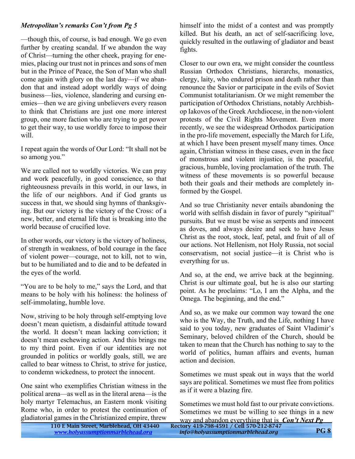#### *Metropolitan's remarks Con't from Pg 5*

—though this, of course, is bad enough. We go even further by creating scandal. If we abandon the way of Christ—turning the other cheek, praying for enemies, placing our trust not in princes and sons of men but in the Prince of Peace, the Son of Man who shall come again with glory on the last day—if we abandon that and instead adopt worldly ways of doing business—lies, violence, slandering and cursing enemies—then we are giving unbelievers every reason to think that Christians are just one more interest group, one more faction who are trying to get power to get their way, to use worldly force to impose their will.

I repeat again the words of Our Lord: "It shall not be so among you."

We are called not to worldly victories. We can pray and work peacefully, in good conscience, so that righteousness prevails in this world, in our laws, in the life of our neighbors. And if God grants us success in that, we should sing hymns of thanksgiving. But our victory is the victory of the Cross: of a new, better, and eternal life that is breaking into the world because of crucified love.

In other words, our victory is the victory of holiness, of strength in weakness, of bold courage in the face of violent power—courage, not to kill, not to win, but to be humiliated and to die and to be defeated in the eyes of the world.

"You are to be holy to me," says the Lord, and that means to be holy with his holiness: the holiness of self-immolating, humble love.

Now, striving to be holy through self-emptying love doesn't mean quietism, a disdainful attitude toward the world. It doesn't mean lacking conviction; it doesn't mean eschewing action. And this brings me to my third point. Even if our identities are not grounded in politics or worldly goals, still, we are called to bear witness to Christ, to strive for justice, to condemn wickedness, to protect the innocent.

One saint who exemplifies Christian witness in the political arena—as well as in the literal arena—is the holy martyr Telemachus, an Eastern monk visiting Rome who, in order to protest the continuation of gladiatorial games in the Christianized empire, threw himself into the midst of a contest and was promptly killed. But his death, an act of self-sacrificing love, quickly resulted in the outlawing of gladiator and beast fights.

Closer to our own era, we might consider the countless Russian Orthodox Christians, hierarchs, monastics, clergy, laity, who endured prison and death rather than renounce the Savior or participate in the evils of Soviet Communist totalitarianism. Or we might remember the participation of Orthodox Christians, notably Archbishop Iakovos of the Greek Archdiocese, in the non-violent protests of the Civil Rights Movement. Even more recently, we see the widespread Orthodox participation in the pro-life movement, especially the March for Life, at which I have been present myself many times. Once again, Christian witness in these cases, even in the face of monstrous and violent injustice, is the peaceful, gracious, humble, loving proclamation of the truth. The witness of these movements is so powerful because both their goals and their methods are completely informed by the Gospel.

And so true Christianity never entails abandoning the world with selfish disdain in favor of purely "spiritual" pursuits. But we must be wise as serpents and innocent as doves, and always desire and seek to have Jesus Christ as the root, stock, leaf, petal, and fruit of all of our actions. Not Hellenism, not Holy Russia, not social conservatism, not social justice—it is Christ who is everything for us.

And so, at the end, we arrive back at the beginning. Christ is our ultimate goal, but he is also our starting point. As he proclaims: "Lo, I am the Alpha, and the Omega. The beginning, and the end."

And so, as we make our common way toward the one who is the Way, the Truth, and the Life, nothing I have said to you today, new graduates of Saint Vladimir's Seminary, beloved children of the Church, should be taken to mean that the Church has nothing to say to the world of politics, human affairs and events, human action and decision.

Sometimes we must speak out in ways that the world says are political. Sometimes we must flee from politics as if it were a blazing fire.

Sometimes we must hold fast to our private convictions. Sometimes we must be willing to see things in a new whip a that is  $C_2$ <sup>1</sup>

| ar gaines in the emistialized empire, threw | way and abandon everything that is <i>Con Tivext Pg</i> |            |
|---------------------------------------------|---------------------------------------------------------|------------|
| 110 E Main Street, Marblehead, OH 43440     | Rectory 419-798-4591 / Cell 570-212-8747                |            |
| www.holyassumptionmarblehead.org            | info@holyassumptionmarblehead.org                       | <b>PG8</b> |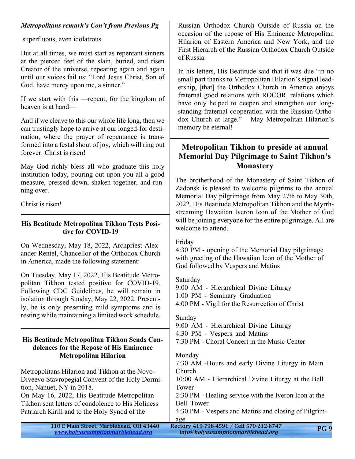#### *Metropolitans remark's Con't from Previous Pg*

superfluous, even idolatrous.

But at all times, we must start as repentant sinners at the pierced feet of the slain, buried, and risen Creator of the universe, repeating again and again until our voices fail us: "Lord Jesus Christ, Son of God, have mercy upon me, a sinner."

If we start with this —repent, for the kingdom of heaven is at hand—

And if we cleave to this our whole life long, then we can trustingly hope to arrive at our longed-for destination, where the prayer of repentance is transformed into a festal shout of joy, which will ring out forever: Christ is risen!

May God richly bless all who graduate this holy institution today, pouring out upon you all a good measure, pressed down, shaken together, and running over.

Christ is risen!

#### **His Beatitude Metropolitan Tikhon Tests Positive for COVID-19**

On Wednesday, May 18, 2022, Archpriest Alexander Rentel, Chancellor of the Orthodox Church in America, made the following statement:

On Tuesday, May 17, 2022, His Beatitude Metropolitan Tikhon tested positive for COVID-19. Following CDC Guidelines, he will remain in isolation through Sunday, May 22, 2022. Presently, he is only presenting mild symptoms and is resting while maintaining a limited work schedule.

#### **His Beatitude Metropolitan Tikhon Sends Condolences for the Repose of His Eminence Metropolitan Hilarion**

Metropolitans Hilarion and Tikhon at the Novo-Diveevo Stavropegial Convent of the Holy Dormition, Nanuet, NY in 2018.

On May 16, 2022, His Beatitude Metropolitan Tikhon sent letters of condolence to His Holiness Patriarch Kirill and to the Holy Synod of the

Russian Orthodox Church Outside of Russia on the occasion of the repose of His Eminence Metropolitan Hilarion of Eastern America and New York, and the First Hierarch of the Russian Orthodox Church Outside of Russia.

In his letters, His Beatitude said that it was due "in no small part thanks to Metropolitan Hilarion's signal leadership, [that] the Orthodox Church in America enjoys fraternal good relations with ROCOR, relations which have only helped to deepen and strengthen our longstanding fraternal cooperation with the Russian Orthodox Church at large." May Metropolitan Hilarion's memory be eternal!

### **Metropolitan Tikhon to preside at annual Memorial Day Pilgrimage to Saint Tikhon's Monastery**

The brotherhood of the Monastery of Saint Tikhon of Zadonsk is pleased to welcome pilgrims to the annual Memorial Day pilgrimage from May 27th to May 30th, 2022. His Beatitude Metropolitan Tikhon and the Myrrhstreaming Hawaiian Iveron Icon of the Mother of God will be joining everyone for the entire pilgrimage. All are welcome to attend.

Friday

4:30 PM - opening of the Memorial Day pilgrimage with greeting of the Hawaiian Icon of the Mother of God followed by Vespers and Matins

Saturday

9:00 AM - Hierarchical Divine Liturgy

1:00 PM - Seminary Graduation

4:00 PM - Vigil for the Resurrection of Christ

#### Sunday

9:00 AM - Hierarchical Divine Liturgy

4:30 PM - Vespers and Matins

7:30 PM - Choral Concert in the Music Center

#### Monday

7:30 AM -Hours and early Divine Liturgy in Main Church 10:00 AM - Hierarchical Divine Liturgy at the Bell Tower

2:30 PM - Healing service with the Iveron Icon at the Bell Tower

4:30 PM - Vespers and Matins and closing of Pilgrimage